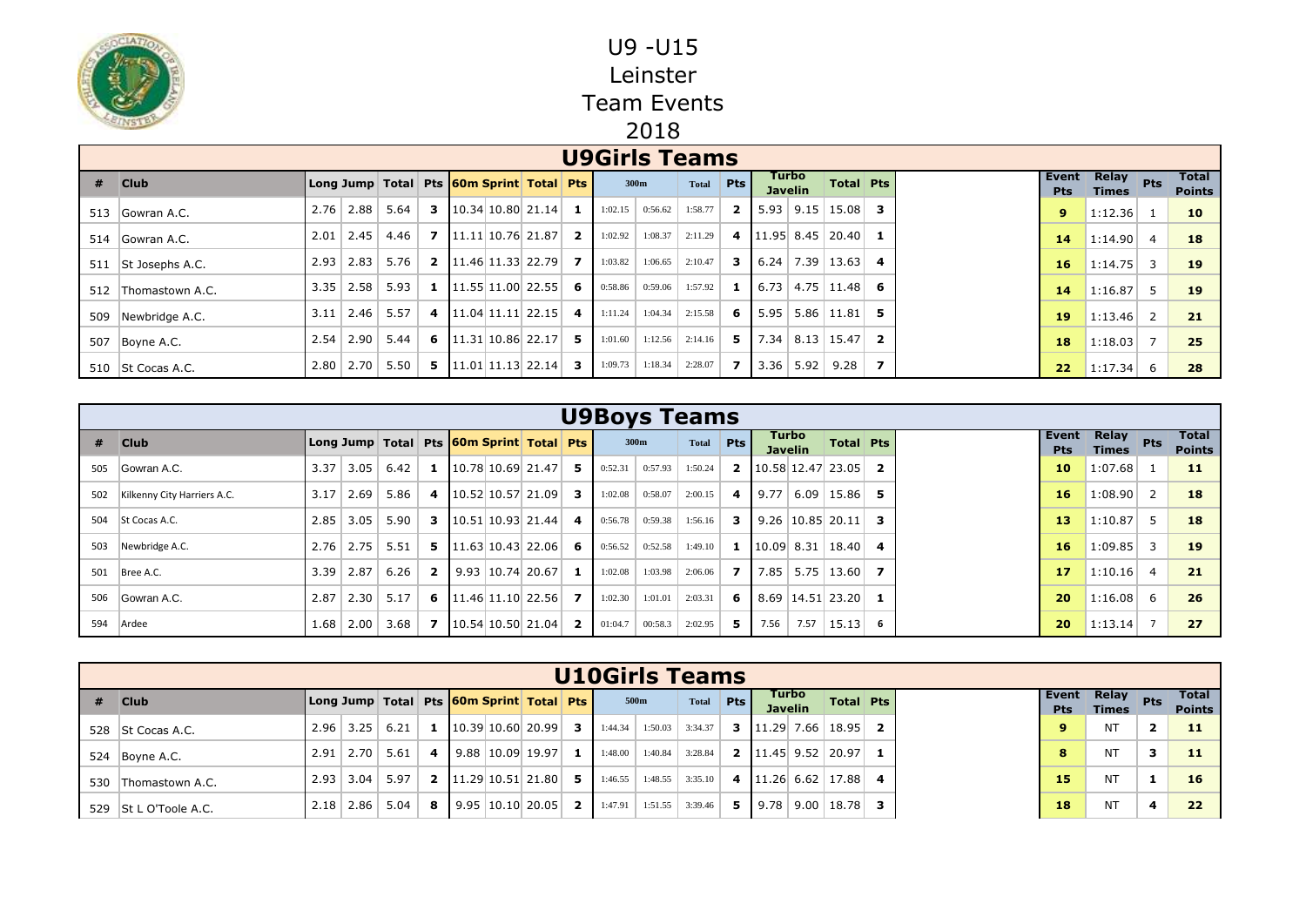

|     |                   |      |                      |      |  |                                                               |    | <b>U9Girls Teams</b> |         |              |                |      |                         |                                    |   |                     |                              |                |                               |
|-----|-------------------|------|----------------------|------|--|---------------------------------------------------------------|----|----------------------|---------|--------------|----------------|------|-------------------------|------------------------------------|---|---------------------|------------------------------|----------------|-------------------------------|
| #   | <b>Club</b>       |      |                      |      |  | Long Jump   Total   Pts   60m Sprint   Total   Pts            |    |                      | 300m    | <b>Total</b> | <b>Pts</b>     |      | Turbo<br><b>Javelin</b> | Total Pts                          |   | Event<br><b>Pts</b> | <b>Relay</b><br><b>Times</b> | <b>Pts</b>     | <b>Total</b><br><b>Points</b> |
|     | 513 Gowran A.C.   |      | $2.76$   2.88        | 5.64 |  | <b>3</b> $\vert 10.34 \vert 10.80 \vert 21.14 \vert$ <b>1</b> |    | 1:02.15              | 0:56.62 | 1:58.77      | 2 <sup>1</sup> |      |                         | $5.93$   9.15   15.08   3          |   | 9                   | 1:12.36                      | - 1            | 10                            |
|     | 514 Gowran A.C.   |      | $2.01$   2.45        | 4.46 |  | <b>7</b> $\vert$ 11.11 10.76 21.87 <b>2</b>                   |    | 1:02.92              | 1:08.37 | 2:11.29      |                |      |                         | 4 $\vert$ 11.95 8.45 20.40 1       |   | 14                  | 1:14.90                      | $\overline{4}$ | 18                            |
| 511 | St Josephs A.C.   | 2.93 | 2.83                 | 5.76 |  | <b>2</b> $\vert$ 11.46 11.33 22.79 <b>7</b>                   |    | 1:03.82              | 1:06.65 | 2:10.47      | $3-1$          |      |                         | $6.24$ 7.39 13.63 4                |   | 16                  | 1:14.75                      | 3              | 19                            |
| 512 | Thomastown A.C.   | 3.35 | $\vert$ 2.58 $\vert$ | 5.93 |  | <b>1</b> $\vert$ 11.55 11.00 22.55 6                          |    | 0:58.86              | 0:59.06 | 1:57.92      | 1 <sup>1</sup> |      |                         | $6.73 \mid 4.75 \mid 11.48 \mid 6$ |   | 14                  | 1:16.87                      | -5             | 19                            |
| 509 | Newbridge A.C.    | 3.11 | 2.46                 | 5.57 |  | 4 $\vert$ 11.04   11.11   22.15                               | 4  | 1:11.24              | 1:04.34 | 2:15.58      | 6 <sup>1</sup> | 5.95 |                         | $5.86$   11.81   5                 |   | 19                  | 1:13.46                      | $\overline{2}$ | 21                            |
|     | 507 Boyne A.C.    |      | $2.54$   2.90        | 5.44 |  | 6 $\vert 11.31 \vert 10.86 \vert 22.17 \vert$ 5               |    | 1:01.60              | 1:12.56 | 2:14.16      | 5              |      |                         | $7.34$   8.13   15.47   2          |   | 18                  | 1:18.03                      | -7             | 25                            |
|     | 510 St Cocas A.C. |      | $2.80$   2.70        | 5.50 |  | 5 $\vert$ 11.01   11.13   22.14                               | -3 | 1:09.73              | 1:18.34 | 2:28.07      | 7 <sup>1</sup> |      | $3.36$ 5.92             | 9.28                               | 7 | 22                  | 1:17.34                      | 6              | 28                            |

|     |                             |                   |      |      |                |  |                                                               |         | <b>U9Boys Teams</b> |              |                |        |                         |                                     |     |                     |                       |                |                               |
|-----|-----------------------------|-------------------|------|------|----------------|--|---------------------------------------------------------------|---------|---------------------|--------------|----------------|--------|-------------------------|-------------------------------------|-----|---------------------|-----------------------|----------------|-------------------------------|
|     | $#$ Club                    |                   |      |      |                |  | Long Jump   Total   Pts 60m Sprint   Total   Pts              |         | 300m                | <b>Total</b> | <b>Pts</b>     |        | Turbo<br><b>Javelin</b> | <b>Total Pts</b>                    |     | Event<br><b>Pts</b> | Relay<br><b>Times</b> | Pts            | <b>Total</b><br><b>Points</b> |
| 505 | Gowran A.C.                 | 3.37 <sup>°</sup> | 3.05 | 6.42 | 1              |  | $10.78$ 10.69 21.47 $\overline{5}$                            | 0:52.31 | 0:57.93             | 1:50.24      |                |        |                         | <b>2</b> 10.58 12.47 23.05 <b>2</b> |     | 10                  | 1:07.68               |                | 11                            |
| 502 | Kilkenny City Harriers A.C. | 3.17              | 2.69 | 5.86 | 4              |  | $10.52 10.57 21.09 $ 3                                        | 1:02.08 | 0:58.07             | 2:00.15      |                | 4 9.77 |                         | $6.09$   15.86   5                  |     | 16                  | 1:08.90               | 2              | 18                            |
| 504 | St Cocas A.C.               | 2.85              | 3.05 | 5.90 |                |  | <b>3</b> $\vert 10.51 \vert 10.93 \vert 21.44 \vert$ <b>4</b> | 0:56.78 | 0:59.38             | 1:56.16      | 3 I            |        |                         | $9.26 \mid 10.85 \mid 20.11 \mid$   | 3   | 13                  | 1:10.87               | 5              | 18                            |
| 503 | Newbridge A.C.              | 2.76              | 2.75 | 5.51 |                |  | <b>5</b> 11.63 10.43 22.06 6                                  | 0:56.52 | 0:52.58             | 1:49.10      |                |        |                         | 1 $\vert$ 10.09 8.31   18.40        | -4  | 16                  | 1:09.85               | 3              | <b>19</b>                     |
| 501 | Bree A.C.                   | 3.39              | 2.87 | 6.26 | $\overline{2}$ |  | $9.93 \mid 10.74 \mid 20.67 \mid$ 1                           | 1:02.08 | 1:03.98             | 2:06.06      | 7 <sup>1</sup> | 7.85   | 5.75                    | $13.60$ 7                           |     | 17                  | 1:10.16               | $\overline{4}$ | 21                            |
|     | 506 Gowran A.C.             | 2.87              | 2.30 | 5.17 |                |  | 6 $\vert$ 11.46 11.10 22.56 7                                 | 1:02.30 | 1:01.01             | 2:03.31      | 6 I            |        |                         | $8.69$   14.51   23.20   1          |     | 20                  | 1:16.08               | 6              | 26                            |
| 594 | Ardee                       | 1.68              | 2.00 | 3.68 |                |  | <b>7</b> 10.54 10.50 21.04 <b>2</b>                           | 01:04.7 | 00:58.3             | 2:02.95      | 5.             | 7.56   | 7.57                    | 15.13                               | - 6 | 20                  | 1:13.14               | $\overline{7}$ | 27                            |

|     |                       |      |                    |                                                    |                         |  |                        |                |         | <b>U10Girls Teams</b> |                   |    |                         |                                     |  |                     |                              |              |                               |
|-----|-----------------------|------|--------------------|----------------------------------------------------|-------------------------|--|------------------------|----------------|---------|-----------------------|-------------------|----|-------------------------|-------------------------------------|--|---------------------|------------------------------|--------------|-------------------------------|
| -#  | <b>Club</b>           |      |                    | Long Jump   Total   Pts   60m Sprint   Total   Pts |                         |  |                        |                |         | 500m                  | Total Pts         |    | Turbo<br><b>Javelin</b> | Total Pts                           |  | Event<br><b>Pts</b> | <b>Relay</b><br><b>Times</b> | <b>Pts</b>   | <b>Total</b><br><b>Points</b> |
|     | 528 St Cocas A.C.     |      | $2.96$   3.25      | 6.21                                               |                         |  | 10.39 10.60 20.99      | -3 I           | 1:44.34 |                       | $1:50.03$ 3:34.37 |    |                         | <b>3</b>   11.29   7.66   18.95   2 |  |                     | NΤ                           | $\mathbf{2}$ | 11                            |
|     | 524 Boyne A.C.        | 2.91 | $\vert 2.70 \vert$ | 5.61                                               | $\overline{\mathbf{4}}$ |  | $9.88$   10.09   19.97 | 1 <sup>1</sup> | 1:48.00 | 1:40.84               | 3:28.84           |    |                         | <b>2</b>   11.45   9.52   20.97   1 |  | 8                   | ΝT                           | 3            | 11                            |
| 530 | Thomastown A.C.       |      | $2.93$   3.04      | 5.97                                               |                         |  | 2 11.29 10.51 21.80    |                | 1:46.55 | 1:48.55               | 3:35.10           |    |                         | 4 $\vert$ 11.26 6.62 17.88 4        |  | 15                  | <b>NT</b>                    | 1            | 16                            |
|     | 529 St L O'Toole A.C. |      | $2.18$   2.86      | 5.04                                               | 8                       |  | $9.95$   10.10   20.05 | <b>2</b> I     | 1:47.91 | 1:51.55               | 3:39.46           | 5. |                         | $9.78$   9.00   18.78   3           |  | 18                  | <b>NT</b>                    | 4            | 22                            |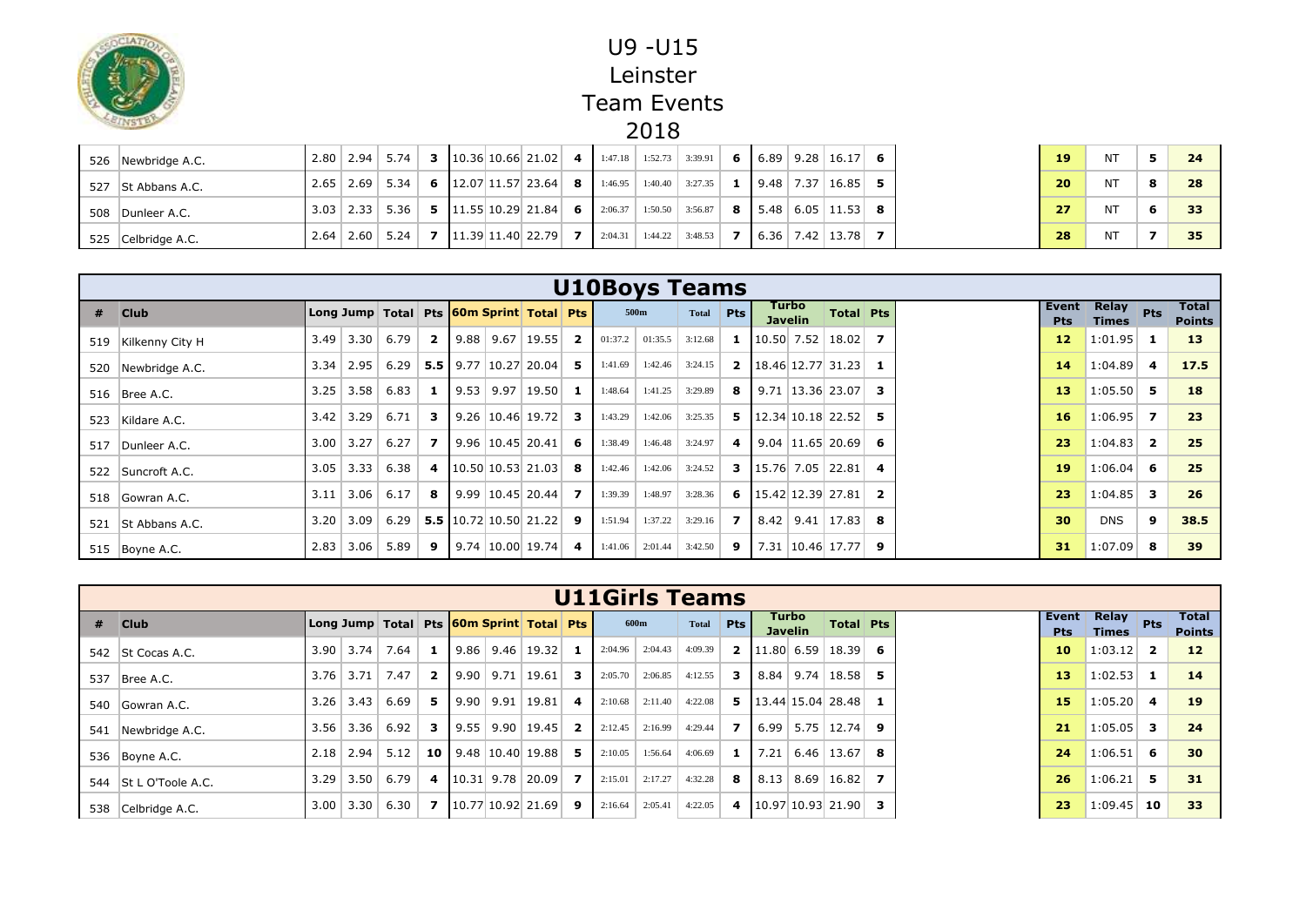

| 526 Newbridge A.C. |  | $2.80$   2.94   5.74 |  |                                                      | <b>3</b> $\vert 10.36 \vert 10.66 \vert 21.02 \vert$ <b>4</b> $\vert 1:47.18 \vert 1:52.73 \vert 3:39.91 \vert$ |         |                                   |  |                                             |  |
|--------------------|--|----------------------|--|------------------------------------------------------|-----------------------------------------------------------------------------------------------------------------|---------|-----------------------------------|--|---------------------------------------------|--|
| 527 St Abbans A.C. |  | $2.65$   2.69   5.34 |  | 6 $\left  12.07 \right  11.57$ 23.64 8               |                                                                                                                 |         | $1:46.95$   $1:40.40$   $3:27.35$ |  | <b>1</b>   9.48   7.37   16.85   5          |  |
| 508 Dunleer A.C.   |  | $3.03$   2.33   5.36 |  | <b>5</b> $\vert 11.55 \vert 10.29 \vert 21.84 \vert$ | 6 2:06.37                                                                                                       |         | $1:50.50$ 3:56.87                 |  | <b>8</b>   5.48   6.05   11.53   8          |  |
| 525 Celbridge A.C. |  | $2.64$   2.60   5.24 |  | $11.39$ 11.40 22.79                                  | <b>7</b> 1 2:04.31                                                                                              | 1:44.22 | 3:48.53                           |  | $\vert 6.36 \vert 7.42 \vert 13.78 \vert$ 7 |  |

|     |                   |      |                  |      |                |  |                                                    |     | <b>U10Boys Teams</b> |         |              |                |                                  |                                                     |                         |                     |                       |                |                               |
|-----|-------------------|------|------------------|------|----------------|--|----------------------------------------------------|-----|----------------------|---------|--------------|----------------|----------------------------------|-----------------------------------------------------|-------------------------|---------------------|-----------------------|----------------|-------------------------------|
|     | $#$ Club          |      |                  |      |                |  | Long Jump   Total   Pts   60m Sprint   Total   Pts |     |                      | 500m    | <b>Total</b> | <b>Pts</b>     | Turbo<br><b>Javelin</b>          | Total Pts                                           |                         | Event<br><b>Pts</b> | Relay<br><b>Times</b> | Pts            | <b>Total</b><br><b>Points</b> |
| 519 | Kilkenny City H   |      | $3.49$ 3.30      | 6.79 | $\mathbf{2}$   |  | $9.88$   9.67   19.55   2                          |     | 01:37.2              | 01:35.5 | 3:12.68      |                | 1 $\vert 10.50 \vert 7.52 \vert$ | $18.02$ 7                                           |                         | 12                  | 1:01.95               | -1             | 13                            |
| 520 | Newbridge A.C.    |      | $3.34$   2.95    | 6.29 |                |  | <b>5.5</b> 9.77 10.27 20.04 5                      |     | 1:41.69              | 1:42.46 | 3:24.15      |                |                                  | <b>2</b> $\left  18.46 \right  12.77$ 31.23         |                         | 14                  | 1:04.89               | 4              | 17.5                          |
|     | 516   Bree A.C.   | 3.25 | 3.58             | 6.83 | 1              |  | $9.53$   9.97   19.50   1                          |     | 1:48.64              | 1:41.25 | 3:29.89      | 8              |                                  | $9.71$   13.36   23.07                              | 3                       | 13                  | 1:05.50               | 5              | 18                            |
|     | 523 Kildare A.C.  |      | $3.42 \mid 3.29$ | 6.71 | 3              |  | 9.26   10.46   19.72                               | - 3 | 1:43.29              | 1:42.06 | 3:25.35      |                |                                  | <b>5</b> 12.34 10.18 22.52 <b>5</b>                 |                         | 16                  | 1:06.95               | $\overline{ }$ | 23                            |
|     | 517 Dunleer A.C.  | 3.00 | 3.27             | 6.27 | $\overline{ }$ |  | $9.96 \mid 10.45 \mid 20.41 \mid$                  | -6  | 1:38.49              | 1:46.48 | 3:24.97      | 4 <sup>1</sup> |                                  | $9.04$   11.65   20.69                              | - 6                     | 23                  | 1:04.83               | $\overline{2}$ | 25                            |
|     | 522 Suncroft A.C. | 3.05 | 3.33             | 6.38 | 4              |  | $\vert 10.50 \vert 10.53 \vert 21.03 \vert$ 8      |     | 1:42.46              | 1:42.06 | 3:24.52      |                |                                  | <b>3</b> $\vert 15.76 \vert 7.05 \vert 22.81 \vert$ | $\overline{\mathbf{4}}$ | 19                  | 1:06.04               | 6              | 25                            |
|     | 518 Gowran A.C.   | 3.11 | 3.06             | 6.17 | 8              |  | $9.99$   10.45   20.44   7                         |     | 1:39.39              | 1:48.97 | 3:28.36      |                |                                  | 6 $\vert$ 15.42 12.39 27.81                         | $\overline{\mathbf{2}}$ | 23                  | 1:04.85               | 3              | 26                            |
| 521 | St Abbans A.C.    | 3.20 | 3.09             | 6.29 |                |  | 5.5 $10.72$ 10.50 21.22                            | - 9 | 1:51.94              | 1:37.22 | 3:29.16      | <b>7</b> I     |                                  | $8.42$   9.41   17.83                               | -8                      | 30                  | <b>DNS</b>            | 9              | 38.5                          |
|     | 515 Boyne A.C.    | 2.83 | 3.06             | 5.89 | 9              |  | $9.74 \mid 10.00 \mid 19.74 \mid$ 4                |     | 1:41.06              | 2:01.44 | 3:42.50      | 9 <sup>1</sup> |                                  | 7.31   10.46   17.77                                | 9                       | 31                  | 1:07.09               | 8              | 39                            |

|     |                   |      |               |                                                    |                |             |                                             |                |                   | <b>U11Girls Teams</b> |           |                |      |                         |                                     |  |                     |                              |                |                               |
|-----|-------------------|------|---------------|----------------------------------------------------|----------------|-------------|---------------------------------------------|----------------|-------------------|-----------------------|-----------|----------------|------|-------------------------|-------------------------------------|--|---------------------|------------------------------|----------------|-------------------------------|
|     | $#$ Club          |      |               | Long Jump   Total   Pts   60m Sprint   Total   Pts |                |             |                                             |                |                   | 600m                  | Total Pts |                |      | Turbo<br><b>Javelin</b> | <b>Total Pts</b>                    |  | Event<br><b>Pts</b> | <b>Relay</b><br><b>Times</b> | Pts            | <b>Total</b><br><b>Points</b> |
| 542 | St Cocas A.C.     |      | $3.90$   3.74 | 7.64                                               |                |             | $\vert 9.86 \vert 9.46 \vert 19.32 \vert 1$ |                | $2:04.96$ 2:04.43 |                       | 4:09.39   |                |      |                         | <b>2</b>   11.80   6.59   18.39   6 |  | 10                  | 1:03.12                      | $\overline{2}$ | $12 \overline{ }$             |
| 537 | Bree A.C.         |      | $3.76$   3.71 | 7.47                                               | $\overline{2}$ |             | $9.90$   9.71   19.61   3                   |                | 2:05.70           | 2:06.85               | 4:12.55   | 3              | 8.84 |                         | $9.74$ 18.58 5                      |  | 13                  | 1:02.53                      | -1             | 14                            |
| 540 | Gowran A.C.       |      | $3.26$   3.43 | 6.69                                               | 5.             | $9.90$ 9.91 | $19.81$ 4                                   |                |                   | $2:10.68$ 2:11.40     | 4:22.08   |                |      |                         | <b>5</b> $\vert$ 13.44 15.04 28.48  |  | 15                  | 1:05.20                      | 4              | 19                            |
| 541 | Newbridge A.C.    |      | $3.56$   3.36 | 6.92                                               | 3              |             | $\vert 9.55 \vert 9.90 \vert 19.45 \vert$ 2 |                |                   | $2:12.45$ 2:16.99     | 4:29.44   | $\overline{7}$ |      |                         | $6.99$   5.75   12.74   9           |  | 21                  | 1:05.05                      | 3              | 24                            |
|     | 536 Boyne A.C.    | 2.18 | 2.94          | 5.12                                               |                |             | <b>10</b> 9.48 10.40 19.88 5                |                | 2:10.05           | 1:56.64               | 4:06.69   | 1              | 7.21 |                         | $6.46$   13.67   8                  |  | 24                  | 1:06.51                      | 6              | 30                            |
| 544 | St L O'Toole A.C. | 3.29 | 3.50          | 6.79                                               | 4              |             | $10.31$ 9.78 20.09                          | $\overline{z}$ | 2:15.01           | 2:17.27               | 4:32.28   | 8              | 8.13 | 8.69                    | 16.82                               |  | 26                  | 1:06.21                      | 5              | 31                            |
| 538 | Celbridge A.C.    |      | $3.00$   3.30 | 6.30                                               | $\mathbf{z}$   |             | $10.77$ 10.92 21.69 9                       |                | 2:16.64           | 2:05.41               | 4:22.05   | 4              |      |                         | $10.97$ 10.93 21.90 3               |  | 23                  | 1:09.45                      | 10             | 33                            |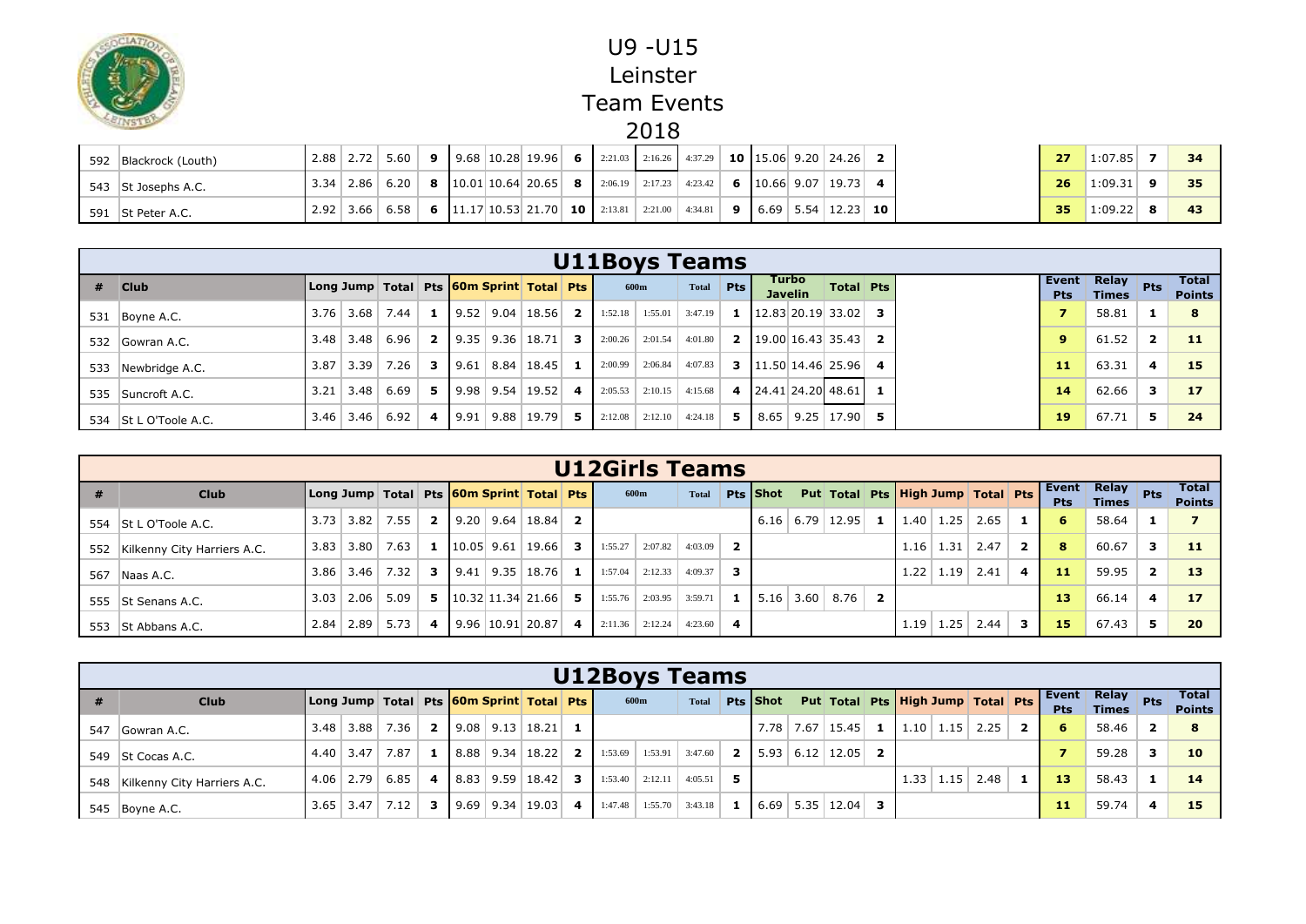

| 592 Blackrock (Louth) |  |  |  |  |  | $\mid$ 2.88   2.72   5.60   9   9.68   10.28   19.96   6   2:21.03   2:16.26   4:37.29   10   15.06   9.20   24.26   2                                    |  |  |  | 27              | 1:07.85     |  |
|-----------------------|--|--|--|--|--|-----------------------------------------------------------------------------------------------------------------------------------------------------------|--|--|--|-----------------|-------------|--|
| 543 St Josephs A.C.   |  |  |  |  |  | $\vert$ 3.34 $\vert$ 2.86 $\vert$ 6.20 $\vert$ 8 $\vert$ 10.01 10.64 20.65 8 $\vert$ 2.06.19 $\vert$ 2:17.23 $\vert$ 4:23.42 6 $\vert$ 10.66 9.07 19.73 4 |  |  |  | 26              | $1:09.31$ 9 |  |
| 591 St Peter A.C.     |  |  |  |  |  | 2.92   3.66   6.58   6   11.17 10.53 21.70   10   2:13.81   2:21.00   4:34.81   9   6.69   5.54   12.23   10                                              |  |  |  | 35 <sub>1</sub> | $1:09.22$ 8 |  |

|     |                       |      |               |                                                    |                         |  |                                  |                |         | <b>U11Boys Teams</b> |         |            |                         |                                            |  |                     |                              |                |                               |
|-----|-----------------------|------|---------------|----------------------------------------------------|-------------------------|--|----------------------------------|----------------|---------|----------------------|---------|------------|-------------------------|--------------------------------------------|--|---------------------|------------------------------|----------------|-------------------------------|
| #   | <b>Club</b>           |      |               | Long Jump   Total   Pts   60m Sprint   Total   Pts |                         |  |                                  |                |         | 600m                 | Total   | <b>Pts</b> | Turbo<br><b>Javelin</b> | <b>Total Pts</b>                           |  | Event<br><b>Pts</b> | <b>Relay</b><br><b>Times</b> | <b>Pts</b>     | <b>Total</b><br><b>Points</b> |
|     | 531 Boyne A.C.        |      | $3.76$   3.68 | 7.44                                               |                         |  | $9.52$   9.04   18.56            | 2 <sup>1</sup> | 1:52.18 | 1:55.01              | 3:47.19 | -1         |                         | $12.83$ 20.19 33.02 3                      |  |                     | 58.81                        |                |                               |
|     | 532 Gowran A.C.       | 3.48 | 3.48          | 6.96                                               | $\overline{2}$          |  | $9.35$   9.36   18.71            | 3 I            |         | $2:00.26$ 2:01.54    | 4:01.80 |            |                         | <b>2</b> $\mid$ 19.00 16.43 35.43 <b>2</b> |  | 9                   | 61.52                        | $\overline{2}$ | 11                            |
| 533 | Newbridge A.C.        | 3.87 | 3.39          | 7.26                                               | 3                       |  | $9.61 \mid 8.84 \mid 18.45 \mid$ | 1 <sup>1</sup> |         | $2:00.99$ 2:06.84    | 4:07.83 |            |                         | <b>3</b> 11.50 14.46 25.96 4               |  | 11                  | 63.31                        | $\overline{a}$ | 15                            |
|     | 535 Suncroft A.C.     | 3.21 | 3.48          | 6.69                                               | 5.                      |  | $9.98$   9.54   19.52            | 4 I            |         | $2:05.53$ 2:10.15    | 4:15.68 |            |                         | 4 24.41 24.20 48.61 1                      |  | 14                  | 62.66                        | 3              | 17                            |
|     | 534 St L O'Toole A.C. |      |               | $3.46$ 3.46 6.92                                   | $\overline{\mathbf{4}}$ |  | $9.91$   9.88   19.79            | 51             |         | $2:12.08$ 2:12.10    | 4:24.18 | 5.         |                         | $8.65$   9.25   17.90   5                  |  | 19                  | 67.71                        | 5              | 24                            |

|     |                                 |      |      |                  |              |  |                                                    |                         | <b>U12Girls Teams</b> |         |              |                         |                 |      |                                   |                |            |                       |      |              |                            |                       |                         |                        |
|-----|---------------------------------|------|------|------------------|--------------|--|----------------------------------------------------|-------------------------|-----------------------|---------|--------------|-------------------------|-----------------|------|-----------------------------------|----------------|------------|-----------------------|------|--------------|----------------------------|-----------------------|-------------------------|------------------------|
| #   | <b>Club</b>                     |      |      |                  |              |  | Long Jump   Total   Pts   60m Sprint   Total   Pts |                         |                       | 600m    | <b>Total</b> |                         | <b>Pts Shot</b> |      | Put Total Pts High Jump Total Pts |                |            |                       |      |              | <b>Event</b><br><b>Pts</b> | Relay<br><b>Times</b> | Pts                     | Total<br><b>Points</b> |
|     | 554 St L O'Toole A.C.           | 3.73 | 3.82 | 7.55             | $\mathbf{2}$ |  | $9.20$   9.64   18.84   2                          |                         |                       |         |              |                         | 6.16            | 6.79 | 12.95                             |                |            | $1.40 \mid 1.25 \mid$ | 2.65 |              | 6                          | 58.64                 |                         |                        |
|     | 552 Kilkenny City Harriers A.C. | 3.83 | 3.80 | 7.63             |              |  | <b>1</b> $\vert$ 10.05 9.61   19.66   <b>3</b>     |                         | 1:55.27               | 2:07.82 | 4:03.09      | $\overline{2}$          |                 |      |                                   |                | 1.16       | 1.31                  | 2.47 | $\mathbf{2}$ | 8                          | 60.67                 | 3                       | 11                     |
| 567 | Naas A.C.                       |      |      | $3.86$ 3.46 7.32 |              |  | <b>3</b>   9.41   9.35   18.76   1                 |                         | 1:57.04               | 2:12.33 | 4:09.37      | 3.                      |                 |      |                                   |                | 1.22       | 1.19                  | 2.41 | 4            | 11                         | 59.95                 | $\mathbf{2}$            | <b>13</b>              |
|     | 555 St Senans A.C.              | 3.03 | 2.06 | 5.09             |              |  | <b>5</b> $\vert$ 10.32 11.34 21.66 <b>5</b>        |                         | 1:55.76               | 2:03.95 | 3:59.71      |                         |                 |      | <b>1</b>   5.16   3.60   8.76     | $\overline{2}$ |            |                       |      |              | 13                         | 66.14                 | $\overline{\mathbf{4}}$ | 17                     |
|     | 553 St Abbans A.C.              | 2.84 | 2.89 | 5.73             | 4            |  | $9.96 \mid 10.91 \mid 20.87 \mid$                  | $\overline{\mathbf{A}}$ | 2:11.36               | 2:12.24 | 4:23.60      | $\overline{\mathbf{4}}$ |                 |      |                                   |                | $1.19$   1 | 1.25                  | 2.44 |              | 15                         | 67.43                 | 5.                      | 20                     |

|     |                             |      |                  |             |                         |  |                                                    |         | <b>U12Boys Teams</b> |              |                |      |                                            |                      |      |      |                |                     |                              |              |                        |
|-----|-----------------------------|------|------------------|-------------|-------------------------|--|----------------------------------------------------|---------|----------------------|--------------|----------------|------|--------------------------------------------|----------------------|------|------|----------------|---------------------|------------------------------|--------------|------------------------|
|     | <b>Club</b>                 |      |                  |             |                         |  | Long Jump   Total   Pts   60m Sprint   Total   Pts |         | 600m                 | <b>Total</b> |                |      | Pts Shot Put Total Pts High Jump Total Pts |                      |      |      |                | Event<br><b>Pts</b> | <b>Relay</b><br><b>Times</b> | <b>Pts</b>   | Total<br><b>Points</b> |
| 547 | Gowran A.C.                 | 3.48 |                  | $3.88$ 7.36 |                         |  | <b>2</b>   9.08   9.13   18.21   1                 |         |                      |              |                | 7.78 | 7.67   15.45                               | $1 \mid 1.10 \mid 1$ | 1.15 | 2.25 | $\overline{2}$ | 6                   | 58.46                        | $\mathbf{2}$ |                        |
|     | 549 St Cocas A.C.           |      | $4.40 \mid 3.47$ | 7.87        | $\mathbf{1}$            |  | $8.88$   9.34   18.22   2                          | 1:53.69 | 1:53.91              | 3:47.60      |                |      | <b>2</b>   5.93   6.12   12.05   <b>2</b>  |                      |      |      |                |                     | 59.28                        | 3            | 10                     |
| 548 | Kilkenny City Harriers A.C. |      | $4.06$   2.79    | 6.85        | $\overline{\mathbf{A}}$ |  | $8.83 \mid 9.59 \mid 18.42 \mid$ 3                 | 1:53.40 | 2:12.11              | 4:05.51      | 5.             |      |                                            | $1.33 \perp$         | 1.15 | 2.48 |                | 13                  | 58.43                        | 1            | 14                     |
|     | 545 Boyne A.C.              | 3.65 | 3.47             | 7.12        | 3                       |  | $\vert 9.69 \vert 9.34 \vert 19.03 \vert 4$        | 1:47.48 | 1:55.70              | 3:43.18      | 1 <sup>1</sup> |      | $6.69$   5.35   12.04   3                  |                      |      |      |                | 11                  | 59.74                        | 4            |                        |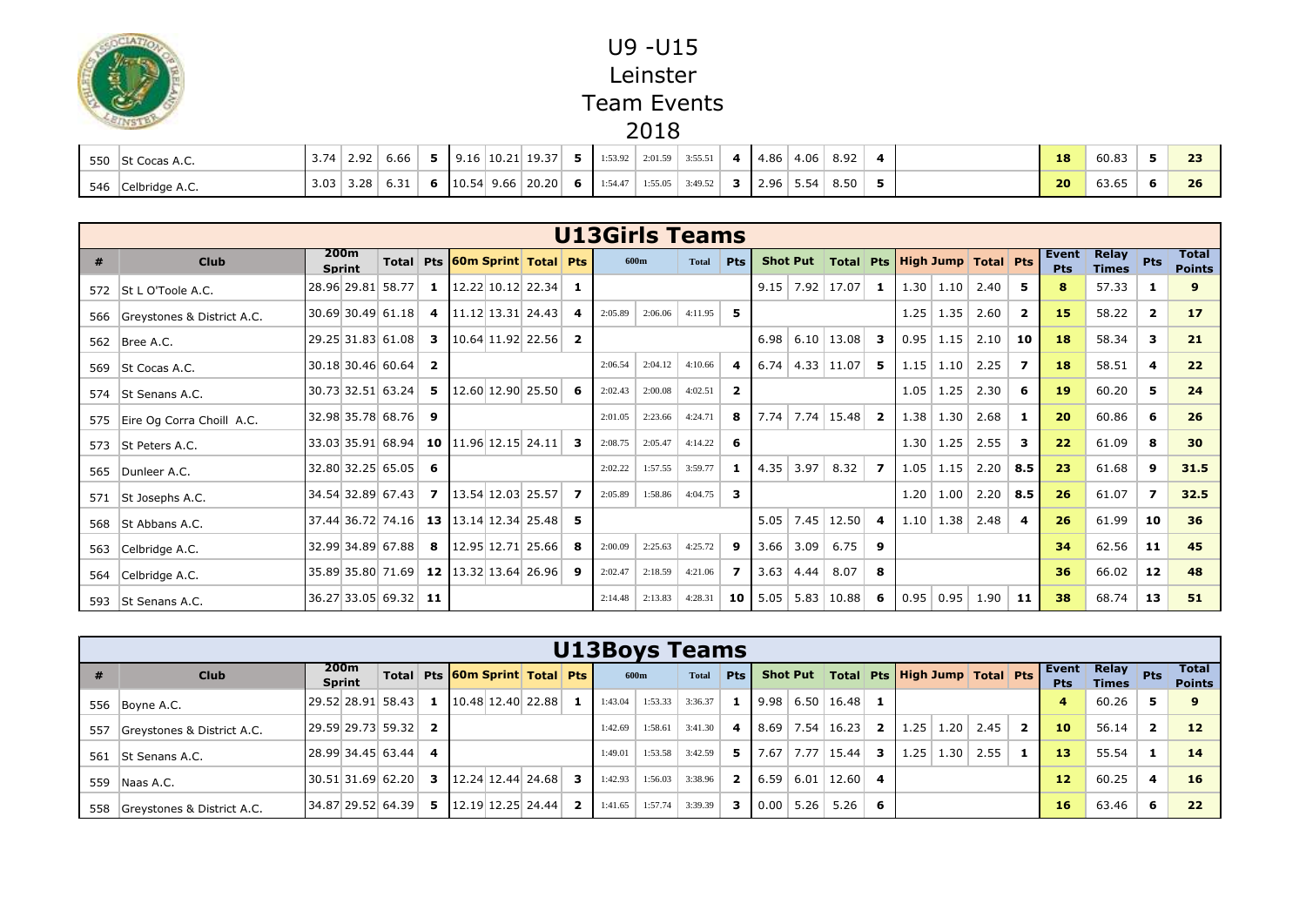

|     | 550 St Cocas A.C. | $3.74$   2.92 |      | 6.66          |  | $9.16 \mid 10.21 \mid 19.37 \mid$            |    | 1:53.92 | 2:01.59 | 3:55.51 | 4.86 | 4.06                  | 8.92 |  | 18              | 60.83 | $-1$ |
|-----|-------------------|---------------|------|---------------|--|----------------------------------------------|----|---------|---------|---------|------|-----------------------|------|--|-----------------|-------|------|
| 546 | Celbridge A.C.    | 3.03          | 3.28 | $-21$<br>0.31 |  | 6 $\vert 10.54 \vert 9.66 \vert 20.20 \vert$ | 61 | 1:54.47 | 1:55.05 | 3:49.52 |      | $2.96 \mid 5.54 \mid$ | 8.50 |  | 20 <sub>1</sub> | 63.65 | 26   |

|   |                                 |                       |                                        |                         |                                              |                | <b>U13Girls Teams</b> |         |              |                |      |                 |                                                  |                         |      |                       |      |                |                     |                              |                |                               |
|---|---------------------------------|-----------------------|----------------------------------------|-------------------------|----------------------------------------------|----------------|-----------------------|---------|--------------|----------------|------|-----------------|--------------------------------------------------|-------------------------|------|-----------------------|------|----------------|---------------------|------------------------------|----------------|-------------------------------|
| # | <b>Club</b>                     | 200m<br><b>Sprint</b> |                                        |                         | Total Pts 60m Sprint Total Pts               |                |                       | 600m    | <b>Total</b> | <b>Pts</b>     |      |                 | Shot Put   Total   Pts   High Jump   Total   Pts |                         |      |                       |      |                | Event<br><b>Pts</b> | <b>Relay</b><br><b>Times</b> | Pts            | <b>Total</b><br><b>Points</b> |
|   | 572   St L O'Toole A.C.         |                       | 28.96 29.81 58.77                      | 1                       | $12.22$ 10.12 22.34                          | 1              |                       |         |              |                |      |                 | $9.15$   7.92   17.07                            | -1                      |      | $1.30 \mid 1.10 \mid$ | 2.40 | 5              | 8                   | 57.33                        | -1             | 9                             |
|   | 566 Greystones & District A.C.  |                       | 30.69 30.49 61.18                      | 4                       | $11.12$ 13.31 24.43                          | 4              | 2:05.89               | 2:06.06 | 4:11.95      | 5.             |      |                 |                                                  |                         | 1.25 | 1.35                  | 2.60 | $\overline{2}$ | 15                  | 58.22                        | $\overline{2}$ | 17                            |
|   | 562   Bree A.C.                 |                       | 29.25 31.83 61.08                      | -3                      | $10.64$ 11.92 22.56                          | $\overline{2}$ |                       |         |              |                |      |                 | $6.98$ 6.10 13.08                                | -3                      |      | $0.95$   1.15         | 2.10 | 10             | 18                  | 58.34                        | 3              | 21                            |
|   | 569   St Cocas A.C.             |                       | 30.18 30.46 60.64                      | $\overline{\mathbf{2}}$ |                                              |                | 2:06.54               | 2:04.12 | 4:10.66      | 4              | 6.74 |                 | $4.33$   11.07                                   | 5                       |      | $1.15$ 1.10           | 2.25 | 7              | 18                  | 58.51                        | $\overline{4}$ | 22                            |
|   | 574 St Senans A.C.              |                       | 30.73 32.51 63.24                      | 5                       | $12.60$ 12.90 25.50                          | 6              | 2:02.43               | 2:00.08 | 4:02.51      | $\overline{2}$ |      |                 |                                                  |                         | 1.05 | 1.25                  | 2.30 | 6              | <b>19</b>           | 60.20                        | 5              | 24                            |
|   | 575   Eire Og Corra Choill A.C. |                       | 32.98 35.78 68.76 9                    |                         |                                              |                | 2:01.05               | 2:23.66 | 4:24.71      | 8              | 7.74 |                 | $7.74$   15.48   2                               |                         |      | $1.38$ 1.30           | 2.68 | -1             | 20                  | 60.86                        | 6              | 26                            |
|   | 573 St Peters A.C.              |                       | 33.03 35.91 68.94                      |                         | 10 $\left  11.96 \right  12.15$ 24.11        | 3              | 2:08.75               | 2:05.47 | 4:14.22      | 6              |      |                 |                                                  |                         | 1.30 | 1.25                  | 2.55 | 3              | 22                  | 61.09                        | 8              | 30                            |
|   | 565 Dunleer A.C.                |                       | $32.80$ 32.25 65.05 6                  |                         |                                              |                | 2:02.22               | 1:57.55 | 3:59.77      | -1             |      | $4.35$ 3.97     | 8.32                                             | $\overline{\mathbf{z}}$ |      | $1.05$ 1.15           | 2.20 | 8.5            | 23                  | 61.68                        | 9              | 31.5                          |
|   | 571 St Josephs A.C.             |                       | 34.54 32.89 67.43                      | 7                       | 13.54 12.03 25.57                            | $\mathbf{z}$   | 2:05.89               | 1:58.86 | 4:04.75      | 3              |      |                 |                                                  |                         | 1.20 | 1.00                  | 2.20 | 8.5            | 26                  | 61.07                        | $\mathbf{z}$   | 32.5                          |
|   | 568   St Abbans A.C.            |                       | 37.44 36.72 74.16                      |                         | <b>13</b> $\left  13.14 \right  12.34$ 25.48 | 5.             |                       |         |              |                |      |                 | $5.05$   7.45   12.50                            | -4                      |      | $1.10$   1.38         | 2.48 | 4              | 26                  | 61.99                        | 10             | 36                            |
|   | 563 Celbridge A.C.              |                       | 32.99 34.89 67.88                      | - 8                     | 12.95 12.71 25.66                            | 8              | 2:00.09               | 2:25.63 | 4:25.72      | 9              |      | $3.66$   $3.09$ | 6.75                                             | 9                       |      |                       |      |                | 34                  | 62.56                        | 11             | 45                            |
|   | 564 Celbridge A.C.              |                       | 35.89 35.80 71.69 12 13.32 13.64 26.96 |                         |                                              | 9              | 2:02.47               | 2:18.59 | 4:21.06      | $\mathbf{z}$   | 3.63 | 4.44            | 8.07                                             | 8                       |      |                       |      |                | 36                  | 66.02                        | 12             | 48                            |
|   | 593   St Senans A.C.            |                       | 36.27 33.05 69.32 11                   |                         |                                              |                | 2:14.48               | 2:13.83 | 4:28.31      | 10 I           | 5.05 |                 | $5.83$   10.88                                   | -6                      |      | $0.95 \mid 0.95 \mid$ | 1.90 | -11            | 38                  | 68.74                        | 13             | 51                            |

|     | <b>U13Boys Teams</b>       |  |                       |                     |                         |  |                                |                                                              |                |         |         |         |     |               |      |                                           |    |                                                  |                         |      |                |                       |                              |                         |                        |
|-----|----------------------------|--|-----------------------|---------------------|-------------------------|--|--------------------------------|--------------------------------------------------------------|----------------|---------|---------|---------|-----|---------------|------|-------------------------------------------|----|--------------------------------------------------|-------------------------|------|----------------|-----------------------|------------------------------|-------------------------|------------------------|
|     | <b>Club</b>                |  | 200m<br><b>Sprint</b> |                     |                         |  | Total Pts 60m Sprint Total Pts |                                                              |                | 600m    |         | Total   | Pts |               |      |                                           |    | Shot Put   Total   Pts   High Jump   Total   Pts |                         |      |                | Event  <br><b>Pts</b> | <b>Relay</b><br><b>Times</b> | Pts                     | Total<br><b>Points</b> |
|     | 556 Boyne A.C.             |  |                       | 29.52 28.91 58.43   |                         |  |                                | <b>1</b> $\mid$ 10.48 12.40 22.88                            |                | 1:43.04 | 1:53.33 | 3:36.37 |     |               |      | <b>1</b>   9.98   6.50   16.48   1        |    |                                                  |                         |      |                | 4                     | 60.26                        | 5                       |                        |
| 557 | Greystones & District A.C. |  |                       | 29.59 29.73 59.32   | $\mathbf{z}$            |  |                                |                                                              |                | 1:42.69 | 1:58.61 | 3:41.30 |     |               |      | 4   8.69   7.54   16.23   2   1.25   1.20 |    |                                                  |                         | 2.45 | $\overline{2}$ | 10                    | 56.14                        | $\overline{2}$          | 12                     |
|     | 561 St Senans A.C.         |  |                       | $28.99$ 34.45 63.44 | $\overline{\mathbf{4}}$ |  |                                |                                                              |                | 1:49.01 | 1:53.58 | 3:42.59 | 5 I |               |      | $7.67$   7.77   15.44                     |    | 3   1.25                                         | $\pm 1.30^{\mathrm{T}}$ | 2.55 |                | 13                    | 55.54                        | 1                       | 14                     |
|     | 559   Naas A.C.            |  |                       | 30.51 31.69 62.20   |                         |  |                                | <b>3</b> $\left  \frac{12.24}{12.44} \right $ 24.68 <b>3</b> |                | 1:42.93 | 1:56.03 | 3:38.96 |     | 2   6.59      | 6.01 | $12.60$ 4                                 |    |                                                  |                         |      |                | 12                    | 60.25                        | $\overline{\mathbf{4}}$ | 16                     |
| 558 | Greystones & District A.C. |  |                       | 34.87 29.52 64.39   |                         |  |                                | <b>5</b> $\vert$ 12.19 12.25 24.44                           | $\overline{2}$ | 1:41.65 | 1:57.74 | 3:39.39 |     | 3 $0.00$ 5.26 |      | 5.26                                      | -6 |                                                  |                         |      |                | 16                    | 63.46                        | 6                       | 22                     |